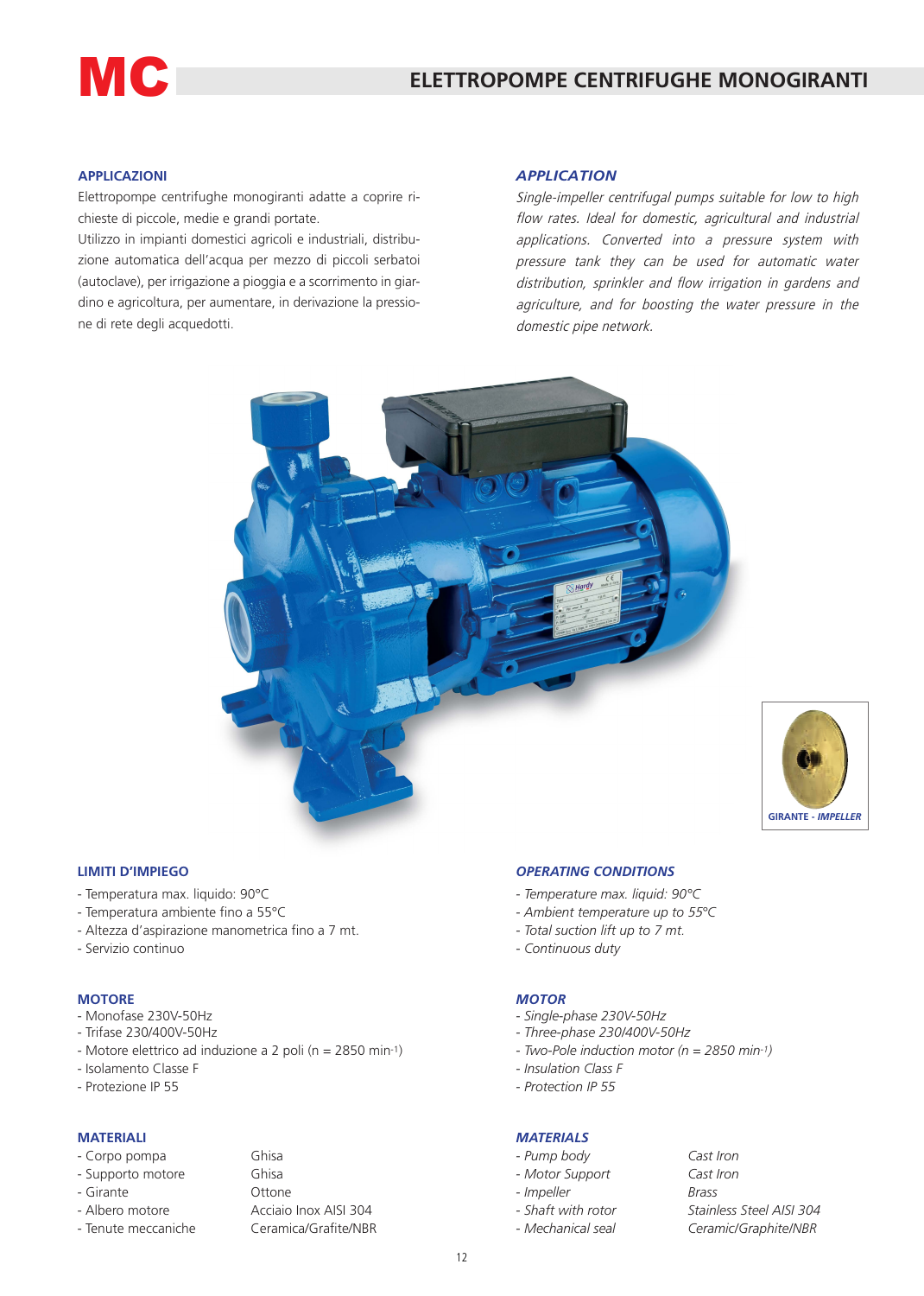# **MC**

### **APPLICAZIONI**

Elettropompe centrifughe monogiranti adatte a coprire richieste di piccole, medie e grandi portate.

Utilizzo in impianti domestici agricoli e industriali, distribuzione automatica dell'acqua per mezzo di piccoli serbatoi (autoclave), per irrigazione a pioggia e a scorrimento in giardino e agricoltura, per aumentare, in derivazione la pressione di rete degli acquedotti.

#### *APPLICATION*

Single-impeller centrifugal pumps suitable for low to high flow rates. Ideal for domestic, agricultural and industrial applications. Converted into a pressure system with pressure tank they can be used for automatic water distribution, sprinkler and flow irrigation in gardens and agriculture, and for boosting the water pressure in the domestic pipe network.





#### **LIMITI D'IMPIEGO**

- Temperatura max. liquido: 90°C
- Temperatura ambiente fino a 55°C
- Altezza d'aspirazione manometrica fino a 7 mt.
- Servizio continuo

#### **MOTORE**

- Monofase 230V-50Hz
- Trifase 230/400V-50Hz
- Motore elettrico ad induzione a 2 poli (n = 2850 min-1)
- Isolamento Classe F
- Protezione IP 55

#### **MATERIALI**

#### - Corpo pompa Ghisa

|  | - Supporto motore |  |
|--|-------------------|--|
|--|-------------------|--|

- Girante Ottone
- 
- Tenute meccaniche Ceramica/Grafite/NBR

Ghisa - Albero motore **Acciaio Inox AISI 304** 

# *OPERATING CONDITIONS*

- *- Temperature max. liquid: 90°C*
- *Ambient temperature up to* 55*°C*
- *- Total suction lift up to 7 mt.*
- *Continuous duty*

#### *MOTOR*

- *Single-phase 230V-50Hz*
- *Three-phase 230/400V-50Hz*
- *Two-Pole induction motor (n = 2850 min-1)*
- *Insulation Class F*
- *Protection IP 55*

## *MATERIALS*

- *Pump body Cast Iron*
- *Motor Support Cast Iron*
- *Impeller Brass*
- 
- 
- *Shaft with rotor Stainless Steel AISI 304 - Mechanical seal Ceramic/Graphite/NBR*